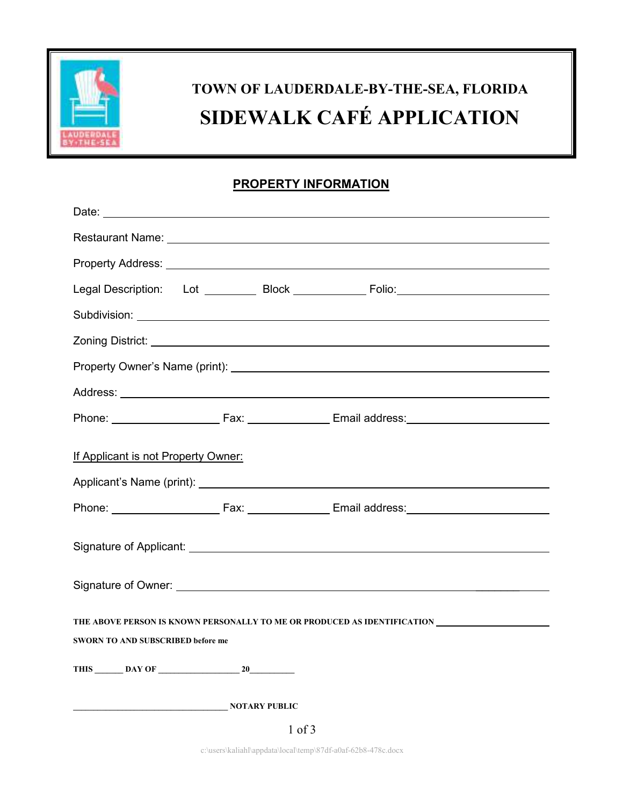

# **TOWN OF LAUDERDALE-BY-THE-SEA, FLORIDA SIDEWALK CAFÉ APPLICATION**

### **PROPERTY INFORMATION**

| Legal Description: Lot __________ Block _____________ Folio:____________________                                                                                                                                               |  |  |
|--------------------------------------------------------------------------------------------------------------------------------------------------------------------------------------------------------------------------------|--|--|
|                                                                                                                                                                                                                                |  |  |
|                                                                                                                                                                                                                                |  |  |
|                                                                                                                                                                                                                                |  |  |
|                                                                                                                                                                                                                                |  |  |
| Phone: Fax: Email address: Email: Email: et al., et al., et al., et al., et al., et al., et al., et al., et al., et al., et al., et al., et al., et al., et al., et al., et al., et al., et al., et al., et al., et al., et al |  |  |
| If Applicant is not Property Owner:                                                                                                                                                                                            |  |  |
| Applicant's Name (print): Applicant's Name (print):                                                                                                                                                                            |  |  |
|                                                                                                                                                                                                                                |  |  |
|                                                                                                                                                                                                                                |  |  |
|                                                                                                                                                                                                                                |  |  |
| THE ABOVE PERSON IS KNOWN PERSONALLY TO ME OR PRODUCED AS IDENTIFICATION ___________________________<br><b>SWORN TO AND SUBSCRIBED before me</b>                                                                               |  |  |
| THIS DAY OF<br>20                                                                                                                                                                                                              |  |  |
| <b>NOTARY PUBLIC</b>                                                                                                                                                                                                           |  |  |
| $1$ of $3$                                                                                                                                                                                                                     |  |  |

c:\users\kaliahl\appdata\local\temp\87df-a0af-62b8-478c.docx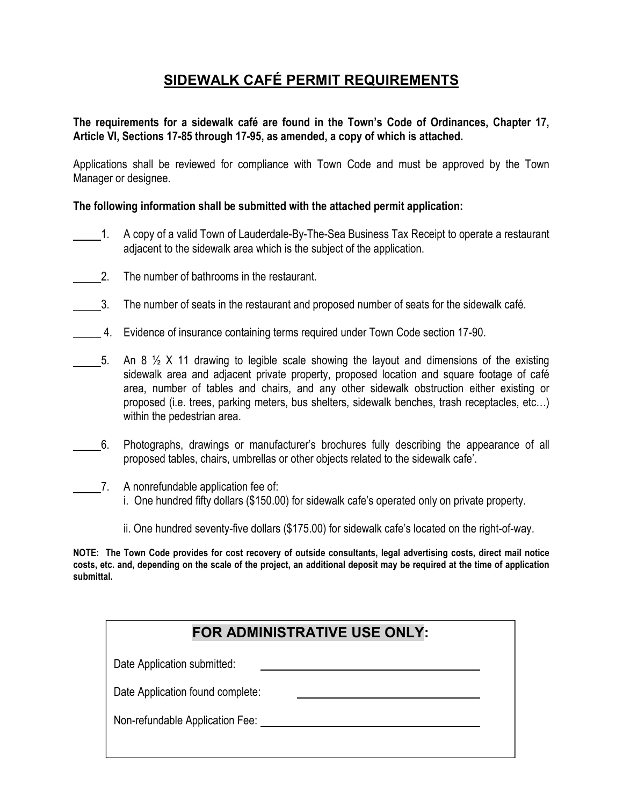## **SIDEWALK CAFÉ PERMIT REQUIREMENTS**

#### **The requirements for a sidewalk café are found in the Town's Code of Ordinances, Chapter 17, Article VI, Sections 17-85 through 17-95, as amended, a copy of which is attached.**

Applications shall be reviewed for compliance with Town Code and must be approved by the Town Manager or designee.

#### **The following information shall be submitted with the attached permit application:**

- 1. A copy of a valid Town of Lauderdale-By-The-Sea Business Tax Receipt to operate a restaurant adjacent to the sidewalk area which is the subject of the application.
- 2. The number of bathrooms in the restaurant.
- 3. The number of seats in the restaurant and proposed number of seats for the sidewalk café.
- 4. Evidence of insurance containing terms required under Town Code section 17-90.
- 5. An 8  $\frac{1}{2}$  X 11 drawing to legible scale showing the layout and dimensions of the existing sidewalk area and adjacent private property, proposed location and square footage of café area, number of tables and chairs, and any other sidewalk obstruction either existing or proposed (i.e. trees, parking meters, bus shelters, sidewalk benches, trash receptacles, etc…) within the pedestrian area.
- 6. Photographs, drawings or manufacturer's brochures fully describing the appearance of all proposed tables, chairs, umbrellas or other objects related to the sidewalk cafe'.
- 7. A nonrefundable application fee of: i. One hundred fifty dollars (\$150.00) for sidewalk cafe's operated only on private property.
	- ii. One hundred seventy-five dollars (\$175.00) for sidewalk cafe's located on the right-of-way.

**NOTE: The Town Code provides for cost recovery of outside consultants, legal advertising costs, direct mail notice costs, etc. and, depending on the scale of the project, an additional deposit may be required at the time of application submittal.** 

| FOR ADMINISTRATIVE USE ONLY:     |
|----------------------------------|
| Date Application submitted:      |
| Date Application found complete: |
| Non-refundable Application Fee:  |
|                                  |